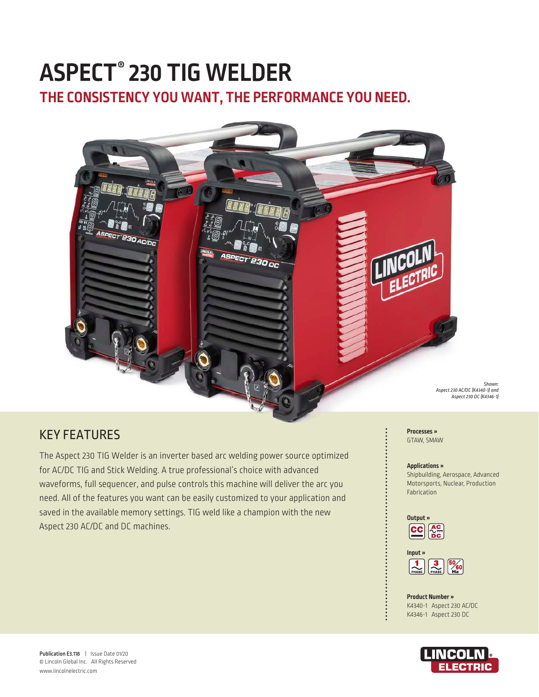# **ASPECT® 230 TIG WELDER**

**THE CONSISTENCY YOU WANT, THE PERFORMANCE YOU NEED.**



# KEY FEATURES

The Aspect 230 TIG Welder is an inverter based arc welding power source optimized for AC/DC TIG and Stick Welding. A true professional's choice with advanced waveforms, full sequencer, and pulse controls this machine will deliver the arc you need. All of the features you want can be easily customized to your application and saved in the available memory settings. TIG weld like a champion with the new Aspect 230 AC/DC and DC machines.

**Processes »** GTAW, SMAW

#### **Applications »**

Shipbuilding, Aerospace, Advanced Motorsports, Nuclear, Production Fabrication

*Shown:*





**Product Number »** K4340-1 Aspect 230 AC/DC K4346-1 Aspect 230 DC

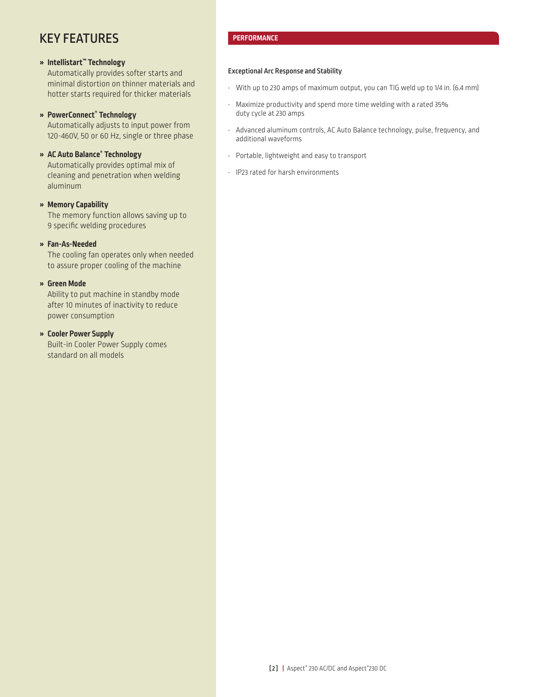# KEY FEATURES

# **» Intellistart™ Technology**

Automatically provides softer starts and minimal distortion on thinner materials and hotter starts required for thicker materials

## **» PowerConnect® Technology**

Automatically adjusts to input power from 120-460V, 50 or 60 Hz, single or three phase

# **» AC Auto Balance® Technology**

Automatically provides optimal mix of cleaning and penetration when welding aluminum

#### **» Memory Capability**

The memory function allows saving up to 9 specific welding procedures

#### **» Fan-As-Needed**

The cooling fan operates only when needed to assure proper cooling of the machine

## **» Green Mode**

Ability to put machine in standby mode after 10 minutes of inactivity to reduce power consumption

#### **» Cooler Power Supply**

Built-in Cooler Power Supply comes standard on all models

# **PERFORMANCE**

#### Exceptional Arc Response and Stability

- With up to 230 amps of maximum output, you can TIG weld up to 1/4 in. (6.4 mm)
- Maximize productivity and spend more time welding with a rated 35% duty cycle at 230 amps
- Advanced aluminum controls, AC Auto Balance technology, pulse, frequency, and additional waveforms
- Portable, lightweight and easy to transport
- IP23 rated for harsh environments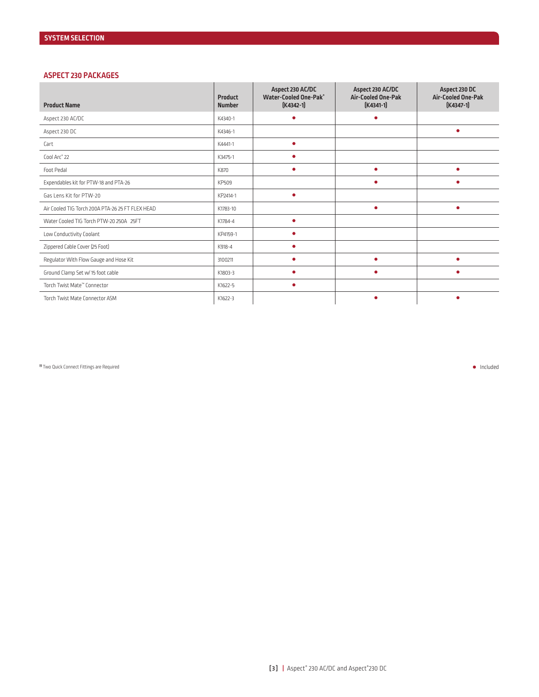#### **ASPECT 230 PACKAGES**

| <b>Product Name</b>                              | Product<br><b>Number</b> | Aspect 230 AC/DC<br><b>Water-Cooled One-Pak®</b><br>$[K4342-1]$ | Aspect 230 AC/DC<br><b>Air-Cooled One-Pak</b><br>$[K4341-1]$ | Aspect 230 DC<br><b>Air-Cooled One-Pak</b><br>$[K4347-1]$ |
|--------------------------------------------------|--------------------------|-----------------------------------------------------------------|--------------------------------------------------------------|-----------------------------------------------------------|
| Aspect 230 AC/DC                                 | K4340-1                  | $\bullet$                                                       |                                                              |                                                           |
| Aspect 230 DC                                    | K4346-1                  |                                                                 |                                                              | $\bullet$                                                 |
| Cart                                             | K4441-1                  | $\bullet$                                                       |                                                              |                                                           |
| Cool Arc <sup>®</sup> 22                         | K3475-1                  | ۰                                                               |                                                              |                                                           |
| Foot Pedal                                       | K870                     | ٠                                                               | ٠                                                            | ٠                                                         |
| Expendables kit for PTW-18 and PTA-26            | KP509                    |                                                                 |                                                              |                                                           |
| Gas Lens Kit for PTW-20                          | KP2414-1                 | ۰                                                               |                                                              |                                                           |
| Air Cooled TIG Torch 200A PTA-26 25 FT FLEX HEAD | K1783-10                 |                                                                 | $\bullet$                                                    | $\bullet$                                                 |
| Water Cooled TIG Torch PTW-20 250A 25FT          | K1784-4                  | ۰                                                               |                                                              |                                                           |
| Low Conductivity Coolant                         | KP4159-1                 | ۰                                                               |                                                              |                                                           |
| Zippered Cable Cover (25 Foot)                   | K918-4                   | $\bullet$                                                       |                                                              |                                                           |
| Regulator With Flow Gauge and Hose Kit           | 3100211                  | ٠                                                               |                                                              |                                                           |
| Ground Clamp Set w/ 15 foot cable                | K1803-3                  | ۰                                                               |                                                              | ٠                                                         |
| Torch Twist Mate™ Connector                      | K1622-5                  | $\bullet$                                                       |                                                              |                                                           |
| Torch Twist Mate Connector ASM                   | K1622-3                  |                                                                 |                                                              |                                                           |

• Included **(1)** Two Quick Connect Fittings are Required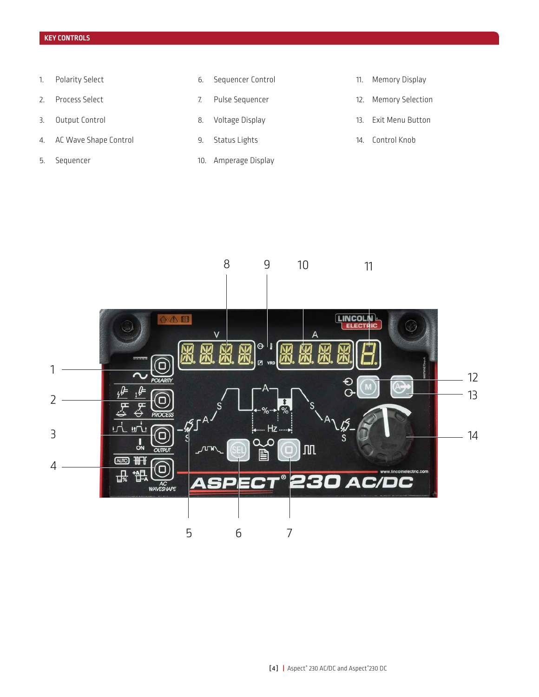# **KEY CONTROLS**

- 1. Polarity Select
- 2. Process Select
- 3. Output Control
- 4. AC Wave Shape Control
- 5. Sequencer
- 6. Sequencer Control
- 7. Pulse Sequencer
- 8. Voltage Display
- 9. Status Lights
- 10. Amperage Display
- 11. Memory Display
- 12. Memory Selection
- 13. Exit Menu Button
- 14. Control Knob

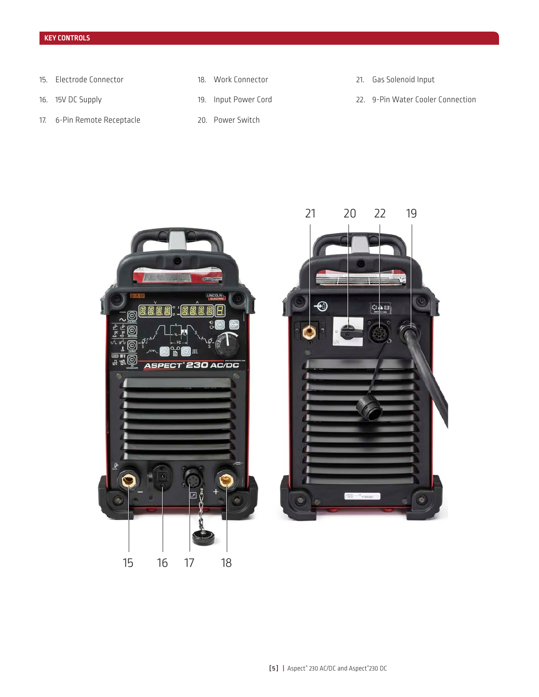- 15. Electrode Connector
- 16. 15V DC Supply
- 17. 6-Pin Remote Receptacle
- 18. Work Connector
- 19. Input Power Cord
	- 20. Power Switch
- 21. Gas Solenoid Input
- 22. 9-Pin Water Cooler Connection

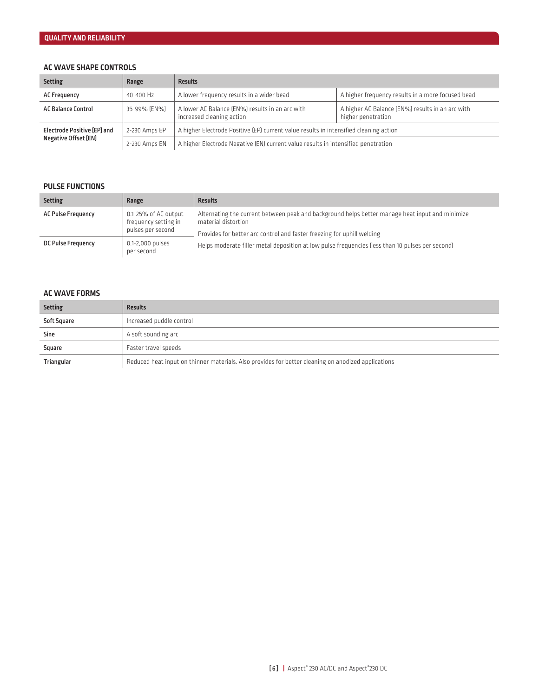### **AC WAVE SHAPE CONTROLS**

| <b>Setting</b>                                      | Range         | <b>Results</b>                                                                        |                                                                        |  |  |
|-----------------------------------------------------|---------------|---------------------------------------------------------------------------------------|------------------------------------------------------------------------|--|--|
| <b>AC Frequency</b>                                 | 40-400 Hz     | A lower frequency results in a wider bead                                             | A higher frequency results in a more focused bead                      |  |  |
| <b>AC Balance Control</b>                           | 35-99% [EN%]  | A lower AC Balance (EN%) results in an arc with<br>increased cleaning action          | A higher AC Balance (EN%) results in an arc with<br>higher penetration |  |  |
| Electrode Positive (EP) and<br>Negative Offset (EN) | 2-230 Amps EP | A higher Electrode Positive (EP) current value results in intensified cleaning action |                                                                        |  |  |
|                                                     | 2-230 Amps EN | A higher Electrode Negative (EN) current value results in intensified penetration     |                                                                        |  |  |

#### **PULSE FUNCTIONS**

| <b>Setting</b>            | Range                                                             | <b>Results</b>                                                                                                                                                                                   |
|---------------------------|-------------------------------------------------------------------|--------------------------------------------------------------------------------------------------------------------------------------------------------------------------------------------------|
| <b>AC Pulse Frequency</b> | 0.1-25% of AC output<br>frequency setting in<br>pulses per second | Alternating the current between peak and background helps better manage heat input and minimize<br>material distortion<br>Provides for better arc control and faster freezing for uphill welding |
| <b>DC Pulse Frequency</b> | 0.1-2,000 pulses<br>per second                                    | Helps moderate filler metal deposition at low pulse frequencies (less than 10 pulses per second)                                                                                                 |

#### **AC WAVE FORMS**

| <b>Setting</b> | <b>Results</b>                                                                                      |
|----------------|-----------------------------------------------------------------------------------------------------|
| Soft Square    | Increased puddle control                                                                            |
| <b>Sine</b>    | A soft sounding arc                                                                                 |
| Square         | Faster travel speeds                                                                                |
| Triangular     | Reduced heat input on thinner materials. Also provides for better cleaning on anodized applications |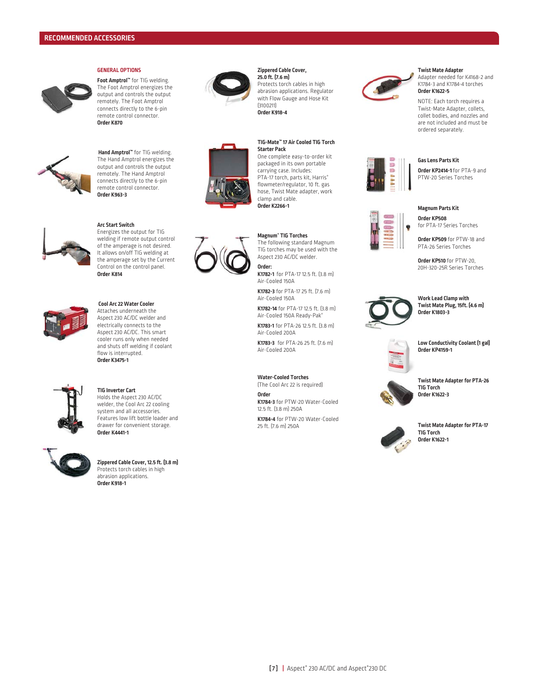

#### **GENERAL OPTIONS**

**Foot Amptrol™** for TIG welding. The Foot Amptrol energizes the output and controls the output remotely. The Foot Amptrol connects directly to the 6-pin remote control connector. **Order K870**



 **Hand Amptrol™** for TIG welding. The Hand Amptrol energizes the output and controls the output remotely. The Hand Amptrol connects directly to the 6-pin remote control connector. **Order K963-3**



#### **Arc Start Switch**

Energizes the output for TIG welding if remote output control of the amperage is not desired. It allows on/off TIG welding at the amperage set by the Current Control on the control panel. **Order K814**



# **Cool Arc 22 Water Cooler**

Attaches underneath the Aspect 230 AC/DC welder and electrically connects to the Aspect 230 AC/DC. This smart cooler runs only when needed and shuts off welding if coolant flow is interrupted. **Order K3475-1**



#### **TIG Inverter Cart** Holds the Aspect 230 AC/DC

welder, the Cool Arc 22 cooling system and all accessories. Features low lift bottle loader and drawer for convenient storage. **Order K4441-1** 



**Zippered Cable Cover, 12.5 ft. (3.8 m)** Protects torch cables in high abrasion applications. **Order K918-1**





#### **TIG-Mate™ 17 Air Cooled TIG Torch Starter Pack**

One complete easy-to-order kit packaged in its own portable carrying case. Includes: PTA-17 torch, parts kit, Harris® flowmeter/regulator, 10 ft. gas hose, Twist Mate adapter, work clamp and cable. **Order K2266-1** 

#### **Magnum® TIG Torches**

The following standard Magnum TIG torches may be used with the Aspect 230 AC/DC welder.

**Order: K1782-1** for PTA-17 12.5 ft. (3.8 m) Air-Cooled 150A

**K1782-3** for PTA-17 25 ft. (7.6 m) Air-Cooled 150A

**K1782-14** for PTA-17 12.5 ft. (3.8 m) Air-Cooled 150A Ready-Pak®

**K1783-1** for PTA-26 12.5 ft. (3.8 m) Air-Cooled 200A

**K1783-3** for PTA-26 25 ft. (7.6 m) Air-Cooled 200A

#### **Water-Cooled Torches**

(The Cool Arc 22 is required) **Order K1784-3** for PTW-20 Water-Cooled

12.5 ft. (3.8 m) 250A **K1784-4** for PTW-20 Water-Cooled 25 ft. (7.6 m) 250A



#### **Twist Mate Adapter**

Adapter needed for K4168-2 and K1784-3 and K1784-4 torches **Order K1622-5**

NOTE: Each torch requires a Twist-Mate Adapter, collets, collet bodies, and nozzles and are not included and must be ordered separately.



#### PTW-20 Series Torches

**Magnum Parts Kit Order KP508** 

**Gas Lens Parts Kit Order KP2414-1** for PTA-9 and

for PTA-17 Series Torches **Order KP509** for PTW-18 and PTA-26 Series Torches

**Order KP510** for PTW-20, 20H-320-25R Series Torches



**Work Lead Clamp with Twist Mate Plug, 15ft. (4.6 m) Order K1803-3**



**Low Conductivity Coolant (1 gal) Order KP4159-1**



**Twist Mate Adapter for PTA-26 TIG Torch Order K1622-3**



**Twist Mate Adapter for PTA-17 TIG Torch Order K1622-1**